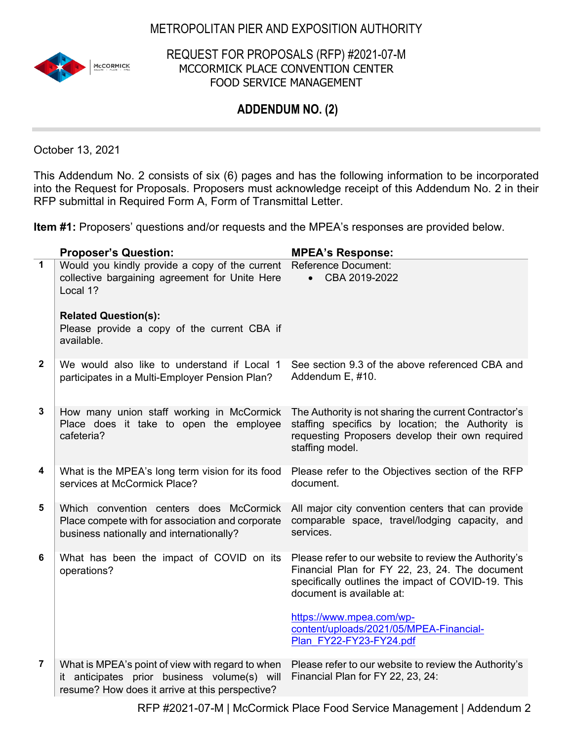## METROPOLITAN PIER AND EXPOSITION AUTHORITY



REQUEST FOR PROPOSALS (RFP) #2021-07-M MCCORMICK PLACE CONVENTION CENTER FOOD SERVICE MANAGEMENT

## **ADDENDUM NO. (2)**

October 13, 2021

This Addendum No. 2 consists of six (6) pages and has the following information to be incorporated into the Request for Proposals. Proposers must acknowledge receipt of this Addendum No. 2 in their RFP submittal in Required Form A, Form of Transmittal Letter.

**Item #1:** Proposers' questions and/or requests and the MPEA's responses are provided below.

|                | <b>Proposer's Question:</b>                                                                                                                         | <b>MPEA's Response:</b>                                                                                                                                                                                                |
|----------------|-----------------------------------------------------------------------------------------------------------------------------------------------------|------------------------------------------------------------------------------------------------------------------------------------------------------------------------------------------------------------------------|
| $\overline{1}$ | Would you kindly provide a copy of the current<br>collective bargaining agreement for Unite Here<br>Local 1?                                        | <b>Reference Document:</b><br>CBA 2019-2022<br>$\bullet$                                                                                                                                                               |
|                | <b>Related Question(s):</b><br>Please provide a copy of the current CBA if<br>available.                                                            |                                                                                                                                                                                                                        |
| $\mathbf{2}$   | We would also like to understand if Local 1<br>participates in a Multi-Employer Pension Plan?                                                       | See section 9.3 of the above referenced CBA and<br>Addendum E, #10.                                                                                                                                                    |
| $\mathbf 3$    | How many union staff working in McCormick<br>Place does it take to open the employee<br>cafeteria?                                                  | The Authority is not sharing the current Contractor's<br>staffing specifics by location; the Authority is<br>requesting Proposers develop their own required<br>staffing model.                                        |
| 4              | What is the MPEA's long term vision for its food<br>services at McCormick Place?                                                                    | Please refer to the Objectives section of the RFP<br>document.                                                                                                                                                         |
| 5              | Which convention centers does McCormick<br>Place compete with for association and corporate<br>business nationally and internationally?             | All major city convention centers that can provide<br>comparable space, travel/lodging capacity, and<br>services.                                                                                                      |
| 6              | What has been the impact of COVID on its<br>operations?                                                                                             | Please refer to our website to review the Authority's<br>Financial Plan for FY 22, 23, 24. The document<br>specifically outlines the impact of COVID-19. This<br>document is available at:<br>https://www.mpea.com/wp- |
|                |                                                                                                                                                     | content/uploads/2021/05/MPEA-Financial-<br>Plan FY22-FY23-FY24.pdf                                                                                                                                                     |
| 7              | What is MPEA's point of view with regard to when<br>it anticipates prior business volume(s) will<br>resume? How does it arrive at this perspective? | Please refer to our website to review the Authority's<br>Financial Plan for FY 22, 23, 24:                                                                                                                             |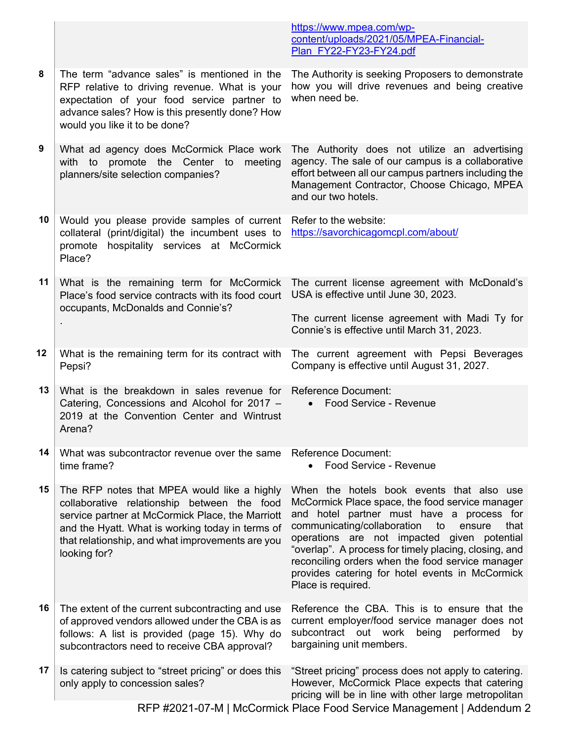|     |                                                                                                                                                                                                                                                                        | https://www.mpea.com/wp-<br>content/uploads/2021/05/MPEA-Financial-<br>Plan FY22-FY23-FY24.pdf                                                                                                                                                                                                                                                                                                                                        |
|-----|------------------------------------------------------------------------------------------------------------------------------------------------------------------------------------------------------------------------------------------------------------------------|---------------------------------------------------------------------------------------------------------------------------------------------------------------------------------------------------------------------------------------------------------------------------------------------------------------------------------------------------------------------------------------------------------------------------------------|
| 8   | The term "advance sales" is mentioned in the<br>RFP relative to driving revenue. What is your<br>expectation of your food service partner to<br>advance sales? How is this presently done? How<br>would you like it to be done?                                        | The Authority is seeking Proposers to demonstrate<br>how you will drive revenues and being creative<br>when need be.                                                                                                                                                                                                                                                                                                                  |
| $9$ | What ad agency does McCormick Place work<br>with to<br>promote the Center to<br>meeting<br>planners/site selection companies?                                                                                                                                          | The Authority does not utilize an advertising<br>agency. The sale of our campus is a collaborative<br>effort between all our campus partners including the<br>Management Contractor, Choose Chicago, MPEA<br>and our two hotels.                                                                                                                                                                                                      |
| 10  | Would you please provide samples of current<br>collateral (print/digital) the incumbent uses to<br>promote hospitality services at McCormick<br>Place?                                                                                                                 | Refer to the website:<br>https://savorchicagomcpl.com/about/                                                                                                                                                                                                                                                                                                                                                                          |
| 11  | What is the remaining term for McCormick<br>Place's food service contracts with its food court<br>occupants, McDonalds and Connie's?                                                                                                                                   | The current license agreement with McDonald's<br>USA is effective until June 30, 2023.                                                                                                                                                                                                                                                                                                                                                |
|     |                                                                                                                                                                                                                                                                        | The current license agreement with Madi Ty for<br>Connie's is effective until March 31, 2023.                                                                                                                                                                                                                                                                                                                                         |
| 12  | What is the remaining term for its contract with<br>Pepsi?                                                                                                                                                                                                             | The current agreement with Pepsi Beverages<br>Company is effective until August 31, 2027.                                                                                                                                                                                                                                                                                                                                             |
| 13  | What is the breakdown in sales revenue for Reference Document:<br>Catering, Concessions and Alcohol for 2017 -<br>2019 at the Convention Center and Wintrust<br>Arena?                                                                                                 | Food Service - Revenue<br>$\bullet$                                                                                                                                                                                                                                                                                                                                                                                                   |
| 14  | What was subcontractor revenue over the same<br>time frame?                                                                                                                                                                                                            | <b>Reference Document:</b><br>Food Service - Revenue<br>$\bullet$                                                                                                                                                                                                                                                                                                                                                                     |
| 15  | The RFP notes that MPEA would like a highly<br>collaborative relationship between the food<br>service partner at McCormick Place, the Marriott<br>and the Hyatt. What is working today in terms of<br>that relationship, and what improvements are you<br>looking for? | When the hotels book events that also use<br>McCormick Place space, the food service manager<br>and hotel partner must have a process for<br>communicating/collaboration<br>to<br>ensure<br>that<br>operations are not impacted given potential<br>"overlap". A process for timely placing, closing, and<br>reconciling orders when the food service manager<br>provides catering for hotel events in McCormick<br>Place is required. |
| 16  | The extent of the current subcontracting and use<br>of approved vendors allowed under the CBA is as<br>follows: A list is provided (page 15). Why do<br>subcontractors need to receive CBA approval?                                                                   | Reference the CBA. This is to ensure that the<br>current employer/food service manager does not<br>subcontract out work<br>being<br>performed<br>by<br>bargaining unit members.                                                                                                                                                                                                                                                       |
| 17  | Is catering subject to "street pricing" or does this<br>only apply to concession sales?                                                                                                                                                                                | "Street pricing" process does not apply to catering.<br>However, McCormick Place expects that catering<br>pricing will be in line with other large metropolitan                                                                                                                                                                                                                                                                       |
|     |                                                                                                                                                                                                                                                                        | RFP #2021-07-M   McCormick Place Food Service Management   Addendum 2                                                                                                                                                                                                                                                                                                                                                                 |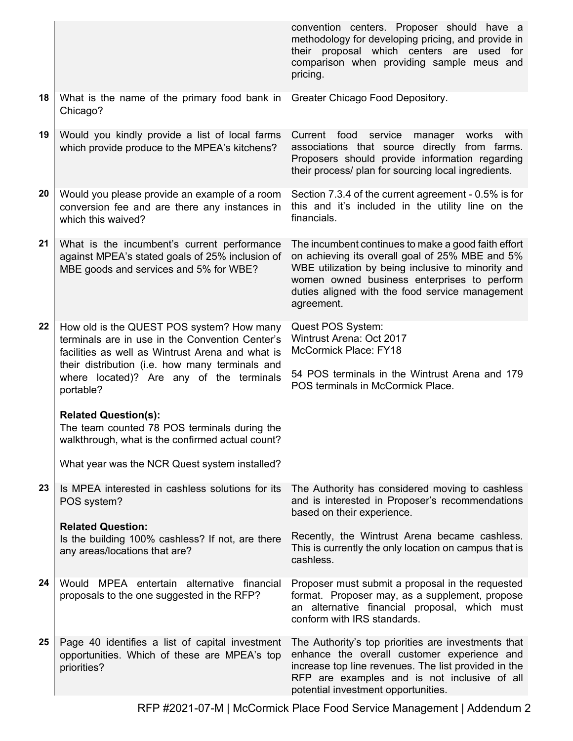|    |                                                                                                                                                                                                                                                                                                                                                                                                 | convention centers. Proposer should have a<br>methodology for developing pricing, and provide in<br>their proposal which centers are used for<br>comparison when providing sample meus and<br>pricing.                                                                       |
|----|-------------------------------------------------------------------------------------------------------------------------------------------------------------------------------------------------------------------------------------------------------------------------------------------------------------------------------------------------------------------------------------------------|------------------------------------------------------------------------------------------------------------------------------------------------------------------------------------------------------------------------------------------------------------------------------|
| 18 | What is the name of the primary food bank in Greater Chicago Food Depository.<br>Chicago?                                                                                                                                                                                                                                                                                                       |                                                                                                                                                                                                                                                                              |
| 19 | Would you kindly provide a list of local farms<br>which provide produce to the MPEA's kitchens?                                                                                                                                                                                                                                                                                                 | Current food<br>service<br>manager works<br>with<br>associations that source directly from farms.<br>Proposers should provide information regarding<br>their process/ plan for sourcing local ingredients.                                                                   |
| 20 | Would you please provide an example of a room<br>conversion fee and are there any instances in<br>which this waived?                                                                                                                                                                                                                                                                            | Section 7.3.4 of the current agreement - 0.5% is for<br>this and it's included in the utility line on the<br>financials.                                                                                                                                                     |
| 21 | What is the incumbent's current performance<br>against MPEA's stated goals of 25% inclusion of<br>MBE goods and services and 5% for WBE?                                                                                                                                                                                                                                                        | The incumbent continues to make a good faith effort<br>on achieving its overall goal of 25% MBE and 5%<br>WBE utilization by being inclusive to minority and<br>women owned business enterprises to perform<br>duties aligned with the food service management<br>agreement. |
| 22 | How old is the QUEST POS system? How many<br>terminals are in use in the Convention Center's<br>facilities as well as Wintrust Arena and what is<br>their distribution (i.e. how many terminals and<br>where located)? Are any of the terminals<br>portable?<br><b>Related Question(s):</b><br>The team counted 78 POS terminals during the<br>walkthrough, what is the confirmed actual count? | Quest POS System:<br>Wintrust Arena: Oct 2017<br>McCormick Place: FY18<br>54 POS terminals in the Wintrust Arena and 179<br>POS terminals in McCormick Place.                                                                                                                |
|    | What year was the NCR Quest system installed?                                                                                                                                                                                                                                                                                                                                                   |                                                                                                                                                                                                                                                                              |
| 23 | Is MPEA interested in cashless solutions for its<br>POS system?<br><b>Related Question:</b>                                                                                                                                                                                                                                                                                                     | The Authority has considered moving to cashless<br>and is interested in Proposer's recommendations<br>based on their experience.                                                                                                                                             |
|    | Is the building 100% cashless? If not, are there<br>any areas/locations that are?                                                                                                                                                                                                                                                                                                               | Recently, the Wintrust Arena became cashless.<br>This is currently the only location on campus that is<br>cashless.                                                                                                                                                          |
| 24 | Would MPEA entertain alternative financial<br>proposals to the one suggested in the RFP?                                                                                                                                                                                                                                                                                                        | Proposer must submit a proposal in the requested<br>format. Proposer may, as a supplement, propose<br>an alternative financial proposal, which must<br>conform with IRS standards.                                                                                           |
| 25 | Page 40 identifies a list of capital investment<br>opportunities. Which of these are MPEA's top<br>priorities?                                                                                                                                                                                                                                                                                  | The Authority's top priorities are investments that<br>enhance the overall customer experience and<br>increase top line revenues. The list provided in the<br>RFP are examples and is not inclusive of all<br>potential investment opportunities.                            |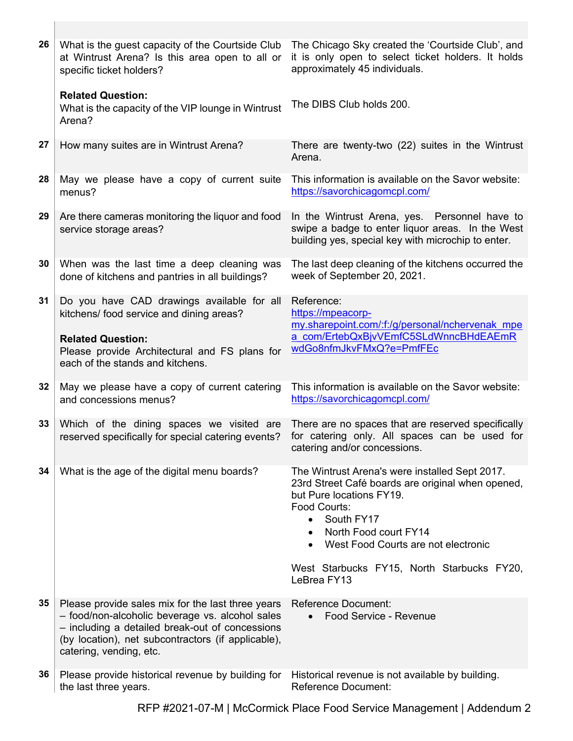| 26 | What is the guest capacity of the Courtside Club<br>at Wintrust Arena? Is this area open to all or<br>specific ticket holders?                                                                                                           | The Chicago Sky created the 'Courtside Club', and<br>it is only open to select ticket holders. It holds<br>approximately 45 individuals.                                                                                                                                                                             |
|----|------------------------------------------------------------------------------------------------------------------------------------------------------------------------------------------------------------------------------------------|----------------------------------------------------------------------------------------------------------------------------------------------------------------------------------------------------------------------------------------------------------------------------------------------------------------------|
|    | <b>Related Question:</b><br>What is the capacity of the VIP lounge in Wintrust<br>Arena?                                                                                                                                                 | The DIBS Club holds 200.                                                                                                                                                                                                                                                                                             |
| 27 | How many suites are in Wintrust Arena?                                                                                                                                                                                                   | There are twenty-two (22) suites in the Wintrust<br>Arena.                                                                                                                                                                                                                                                           |
| 28 | May we please have a copy of current suite<br>menus?                                                                                                                                                                                     | This information is available on the Savor website:<br>https://savorchicagomcpl.com/                                                                                                                                                                                                                                 |
| 29 | Are there cameras monitoring the liquor and food<br>service storage areas?                                                                                                                                                               | In the Wintrust Arena, yes. Personnel have to<br>swipe a badge to enter liquor areas. In the West<br>building yes, special key with microchip to enter.                                                                                                                                                              |
| 30 | When was the last time a deep cleaning was<br>done of kitchens and pantries in all buildings?                                                                                                                                            | The last deep cleaning of the kitchens occurred the<br>week of September 20, 2021.                                                                                                                                                                                                                                   |
| 31 | Do you have CAD drawings available for all<br>kitchens/ food service and dining areas?<br><b>Related Question:</b><br>Please provide Architectural and FS plans for<br>each of the stands and kitchens.                                  | Reference:<br>https://mpeacorp-<br>my.sharepoint.com/:f:/g/personal/nchervenak mpe<br>a com/ErtebQxBjvVEmfC5SLdWnncBHdEAEmR<br>wdGo8nfmJkvFMxQ?e=PmfFEc                                                                                                                                                              |
| 32 | May we please have a copy of current catering<br>and concessions menus?                                                                                                                                                                  | This information is available on the Savor website:<br>https://savorchicagomcpl.com/                                                                                                                                                                                                                                 |
| 33 | Which of the dining spaces we visited are<br>reserved specifically for special catering events?                                                                                                                                          | There are no spaces that are reserved specifically<br>for catering only. All spaces can be used for<br>catering and/or concessions.                                                                                                                                                                                  |
| 34 | What is the age of the digital menu boards?                                                                                                                                                                                              | The Wintrust Arena's were installed Sept 2017.<br>23rd Street Café boards are original when opened,<br>but Pure locations FY19.<br>Food Courts:<br>South FY17<br>$\bullet$<br>North Food court FY14<br>$\bullet$<br>West Food Courts are not electronic<br>West Starbucks FY15, North Starbucks FY20,<br>LeBrea FY13 |
|    |                                                                                                                                                                                                                                          |                                                                                                                                                                                                                                                                                                                      |
| 35 | Please provide sales mix for the last three years<br>- food/non-alcoholic beverage vs. alcohol sales<br>- including a detailed break-out of concessions<br>(by location), net subcontractors (if applicable),<br>catering, vending, etc. | <b>Reference Document:</b><br>Food Service - Revenue                                                                                                                                                                                                                                                                 |
| 36 | Please provide historical revenue by building for<br>the last three years.                                                                                                                                                               | Historical revenue is not available by building.<br><b>Reference Document:</b>                                                                                                                                                                                                                                       |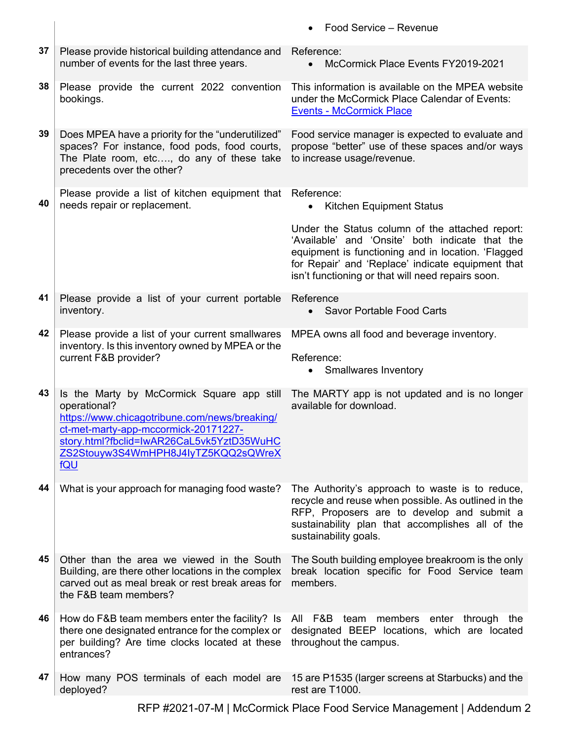|    |                                                                                                                                                                                                                                                       | Food Service - Revenue                                                                                                                                                                                                                                             |
|----|-------------------------------------------------------------------------------------------------------------------------------------------------------------------------------------------------------------------------------------------------------|--------------------------------------------------------------------------------------------------------------------------------------------------------------------------------------------------------------------------------------------------------------------|
| 37 | Please provide historical building attendance and<br>number of events for the last three years.                                                                                                                                                       | Reference:<br>McCormick Place Events FY2019-2021<br>$\bullet$                                                                                                                                                                                                      |
| 38 | Please provide the current 2022 convention<br>bookings.                                                                                                                                                                                               | This information is available on the MPEA website<br>under the McCormick Place Calendar of Events:<br><b>Events - McCormick Place</b>                                                                                                                              |
| 39 | Does MPEA have a priority for the "underutilized"<br>spaces? For instance, food pods, food courts,<br>The Plate room, etc, do any of these take<br>precedents over the other?                                                                         | Food service manager is expected to evaluate and<br>propose "better" use of these spaces and/or ways<br>to increase usage/revenue.                                                                                                                                 |
| 40 | Please provide a list of kitchen equipment that<br>needs repair or replacement.                                                                                                                                                                       | Reference:<br><b>Kitchen Equipment Status</b><br>$\bullet$                                                                                                                                                                                                         |
|    |                                                                                                                                                                                                                                                       | Under the Status column of the attached report:<br>'Available' and 'Onsite' both indicate that the<br>equipment is functioning and in location. 'Flagged<br>for Repair' and 'Replace' indicate equipment that<br>isn't functioning or that will need repairs soon. |
| 41 | Please provide a list of your current portable<br>inventory.                                                                                                                                                                                          | Reference<br><b>Savor Portable Food Carts</b>                                                                                                                                                                                                                      |
| 42 | Please provide a list of your current smallwares<br>inventory. Is this inventory owned by MPEA or the<br>current F&B provider?                                                                                                                        | MPEA owns all food and beverage inventory.<br>Reference:<br><b>Smallwares Inventory</b><br>$\bullet$                                                                                                                                                               |
| 43 | Is the Marty by McCormick Square app still<br>operational?<br>https://www.chicagotribune.com/news/breaking/<br>ct-met-marty-app-mccormick-20171227-<br>story.html?fbclid=IwAR26CaL5vk5YztD35WuHC<br>ZS2Stouyw3S4WmHPH8J4IyTZ5KQQ2sQWreX<br><b>fQU</b> | The MARTY app is not updated and is no longer<br>available for download.                                                                                                                                                                                           |
| 44 | What is your approach for managing food waste?                                                                                                                                                                                                        | The Authority's approach to waste is to reduce,<br>recycle and reuse when possible. As outlined in the<br>RFP, Proposers are to develop and submit a<br>sustainability plan that accomplishes all of the<br>sustainability goals.                                  |
| 45 | Other than the area we viewed in the South<br>Building, are there other locations in the complex<br>carved out as meal break or rest break areas for<br>the F&B team members?                                                                         | The South building employee breakroom is the only<br>break location specific for Food Service team<br>members.                                                                                                                                                     |
| 46 | How do F&B team members enter the facility? Is<br>there one designated entrance for the complex or<br>per building? Are time clocks located at these<br>entrances?                                                                                    | All F&B team members enter through the<br>designated BEEP locations, which are located<br>throughout the campus.                                                                                                                                                   |
| 47 | How many POS terminals of each model are<br>deployed?                                                                                                                                                                                                 | 15 are P1535 (larger screens at Starbucks) and the<br>rest are T1000.                                                                                                                                                                                              |

RFP #2021-07-M | McCormick Place Food Service Management | Addendum 2